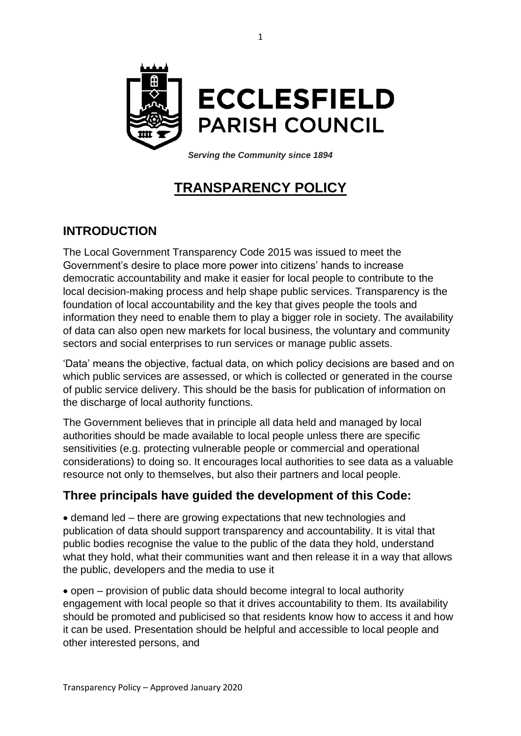

*Serving the Community since 1894*

## **TRANSPARENCY POLICY**

## **INTRODUCTION**

The Local Government Transparency Code 2015 was issued to meet the Government's desire to place more power into citizens' hands to increase democratic accountability and make it easier for local people to contribute to the local decision-making process and help shape public services. Transparency is the foundation of local accountability and the key that gives people the tools and information they need to enable them to play a bigger role in society. The availability of data can also open new markets for local business, the voluntary and community sectors and social enterprises to run services or manage public assets.

'Data' means the objective, factual data, on which policy decisions are based and on which public services are assessed, or which is collected or generated in the course of public service delivery. This should be the basis for publication of information on the discharge of local authority functions.

The Government believes that in principle all data held and managed by local authorities should be made available to local people unless there are specific sensitivities (e.g. protecting vulnerable people or commercial and operational considerations) to doing so. It encourages local authorities to see data as a valuable resource not only to themselves, but also their partners and local people.

## **Three principals have guided the development of this Code:**

• demand led – there are growing expectations that new technologies and publication of data should support transparency and accountability. It is vital that public bodies recognise the value to the public of the data they hold, understand what they hold, what their communities want and then release it in a way that allows the public, developers and the media to use it

• open – provision of public data should become integral to local authority engagement with local people so that it drives accountability to them. Its availability should be promoted and publicised so that residents know how to access it and how it can be used. Presentation should be helpful and accessible to local people and other interested persons, and